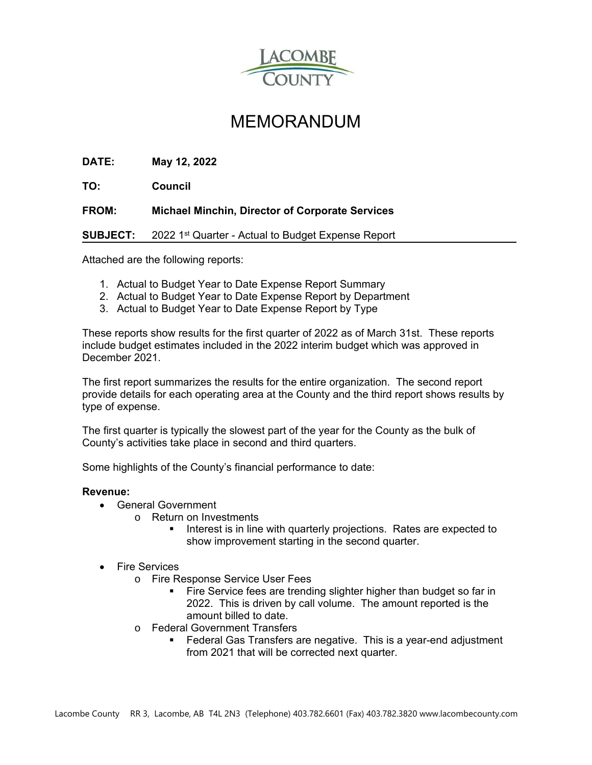

## MEMORANDUM

**DATE: May 12, 2022** 

**TO: Council** 

**FROM: Michael Minchin, Director of Corporate Services**

**SUBJECT:** 2022 1<sup>st</sup> Quarter - Actual to Budget Expense Report

Attached are the following reports:

- 1. Actual to Budget Year to Date Expense Report Summary
- 2. Actual to Budget Year to Date Expense Report by Department
- 3. Actual to Budget Year to Date Expense Report by Type

These reports show results for the first quarter of 2022 as of March 31st. These reports include budget estimates included in the 2022 interim budget which was approved in December 2021.

The first report summarizes the results for the entire organization. The second report provide details for each operating area at the County and the third report shows results by type of expense.

The first quarter is typically the slowest part of the year for the County as the bulk of County's activities take place in second and third quarters.

Some highlights of the County's financial performance to date:

## **Revenue:**

- General Government
	- o Return on Investments
		- Interest is in line with quarterly projections. Rates are expected to show improvement starting in the second quarter.
- Fire Services
	- o Fire Response Service User Fees
		- **Fire Service fees are trending slighter higher than budget so far in** 2022. This is driven by call volume. The amount reported is the amount billed to date.
	- o Federal Government Transfers
		- Federal Gas Transfers are negative. This is a year-end adjustment from 2021 that will be corrected next quarter.